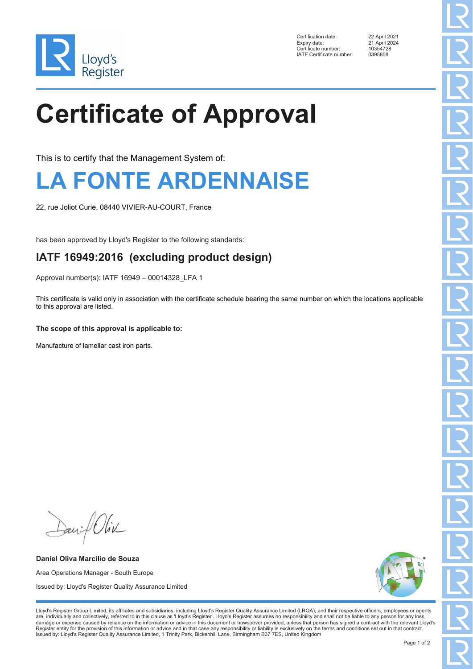

Certification date: 22 April 2021<br>Expiry date: 21 April 2024 Enterprise contribution<br>Certificate number: 10354728<br>IATE Certificate number: 0395858 IATF Certificate number:

21 April 2024<br>10354728

# **Certificate of Approval**

This is to certify that the Management System of:

## **LA FONTE ARDENNAISE**

22, rue Joliot Curie, 08440 VIVIER-AU-COURT, France

has been approved by Lloyd's Register to the following standards:

#### **IATF 16949:2016 (excluding product design)**

Approval number(s): IATF 16949 – 00014328\_LFA 1

This certificate is valid only in association with the certificate schedule bearing the same number on which the locations applicable to this approval are listed.

#### **The scope of this approval is applicable to:**

Manufacture of lamellar cast iron parts.

Daniel Oliv

**Daniel Oliva Marcilio de Souza** Area Operations Manager - South Europe Issued by: Lloyd's Register Quality Assurance Limited

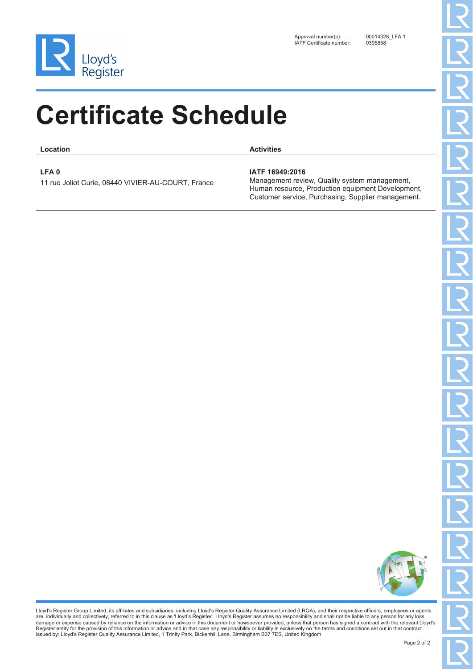

**Location Activities**

**LFA 0**

11 rue Joliot Curie, 08440 VIVIER-AU-COURT, France

#### **IATF 16949:2016**

Management review, Quality system management, Human resource, Production equipment Development, Customer service, Purchasing, Supplier management.

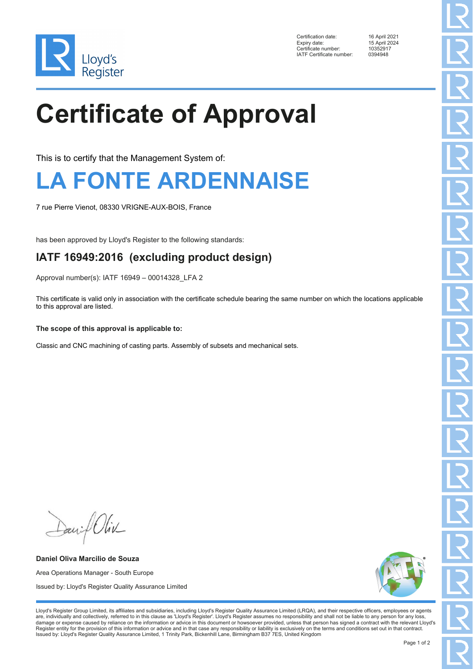

Certification date: 16 April 2021<br>Expiry date: 15 April 2024 Certificate number: 1035291<br>
IATE Certificate number: 0394948 IATF Certificate number:

15 April 2024<br>10352917

# **Certificate of Approval**

This is to certify that the Management System of:

## **LA FONTE ARDENNAISE**

7 rue Pierre Vienot, 08330 VRIGNE-AUX-BOIS, France

has been approved by Lloyd's Register to the following standards:

#### **IATF 16949:2016 (excluding product design)**

Approval number(s): IATF 16949 – 00014328\_LFA 2

This certificate is valid only in association with the certificate schedule bearing the same number on which the locations applicable to this approval are listed.

#### **The scope of this approval is applicable to:**

Classic and CNC machining of casting parts. Assembly of subsets and mechanical sets.

David Oliv

**Daniel Oliva Marcilio de Souza** Area Operations Manager - South Europe Issued by: Lloyd's Register Quality Assurance Limited

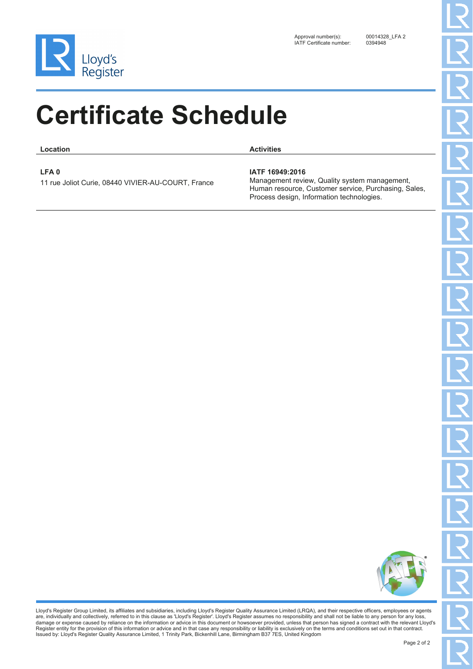

**Location Activities**

**LFA 0**

11 rue Joliot Curie, 08440 VIVIER-AU-COURT, France

#### **IATF 16949:2016**

Management review, Quality system management, Human resource, Customer service, Purchasing, Sales, Process design, Information technologies.

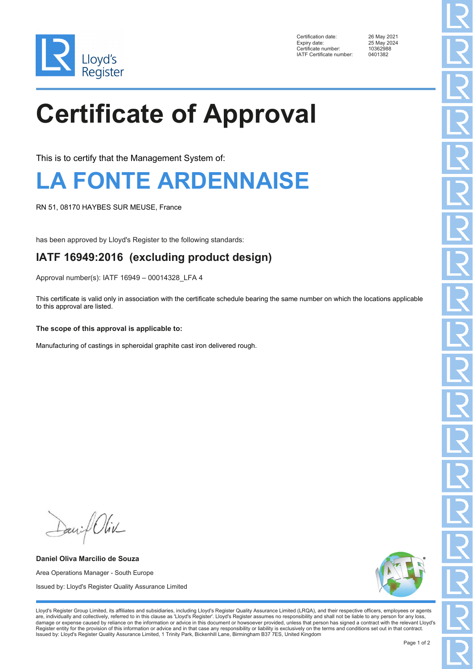

Certification date: 26 May 2021<br>Expiry date: 25 May 2024 Energy Terms<br>Certificate number: 1036298<br>IATE Certificate number: 0401382 IATF Certificate number:

25 May 2024<br>10362988

# **Certificate of Approval**

This is to certify that the Management System of:

## **LA FONTE ARDENNAISE**

RN 51, 08170 HAYBES SUR MEUSE, France

has been approved by Lloyd's Register to the following standards:

### **IATF 16949:2016 (excluding product design)**

Approval number(s): IATF 16949 – 00014328\_LFA 4

This certificate is valid only in association with the certificate schedule bearing the same number on which the locations applicable to this approval are listed.

#### **The scope of this approval is applicable to:**

Manufacturing of castings in spheroidal graphite cast iron delivered rough.

David Oliv

**Daniel Oliva Marcilio de Souza** Area Operations Manager - South Europe Issued by: Lloyd's Register Quality Assurance Limited

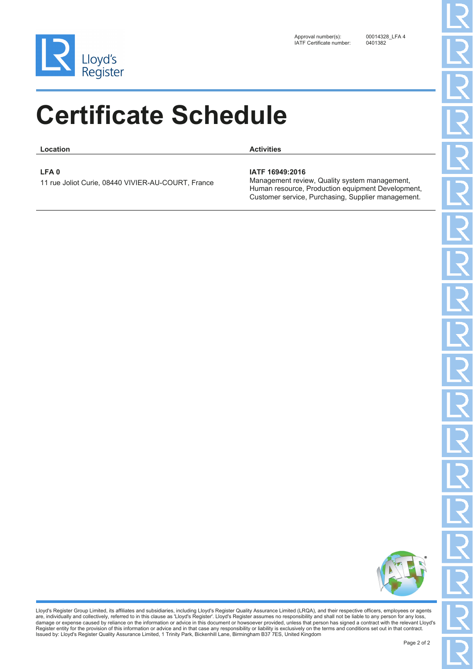

**Location Activities**

**LFA 0**

11 rue Joliot Curie, 08440 VIVIER-AU-COURT, France

#### **IATF 16949:2016**

Management review, Quality system management, Human resource, Production equipment Development, Customer service, Purchasing, Supplier management.

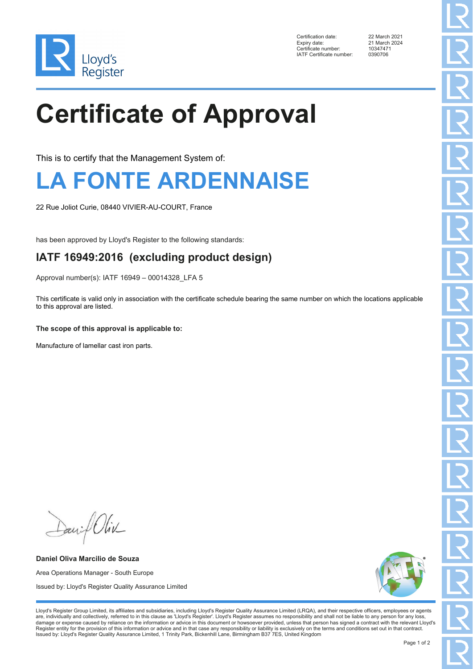

Certification date: 22 March 2021<br>Expiry date: 21 March 2024 Expressed Certificate number: 1034747<br>
IATE Certificate number: 0390706 IATF Certificate number:

21 March 2024<br>10347471

# **Certificate of Approval**

This is to certify that the Management System of:

## **LA FONTE ARDENNAISE**

22 Rue Joliot Curie, 08440 VIVIER-AU-COURT, France

has been approved by Lloyd's Register to the following standards:

#### **IATF 16949:2016 (excluding product design)**

Approval number(s): IATF 16949 – 00014328\_LFA 5

This certificate is valid only in association with the certificate schedule bearing the same number on which the locations applicable to this approval are listed.

#### **The scope of this approval is applicable to:**

Manufacture of lamellar cast iron parts.

David Oliv

**Daniel Oliva Marcilio de Souza** Area Operations Manager - South Europe Issued by: Lloyd's Register Quality Assurance Limited

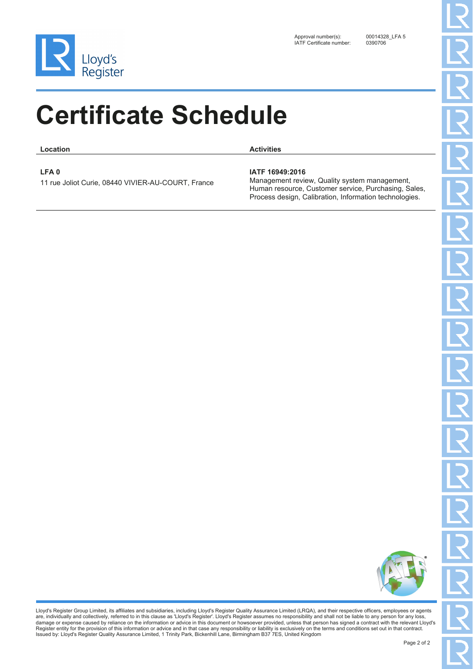

**Location Activities**

**LFA 0**

11 rue Joliot Curie, 08440 VIVIER-AU-COURT, France

#### **IATF 16949:2016**

Management review, Quality system management, Human resource, Customer service, Purchasing, Sales, Process design, Calibration, Information technologies.

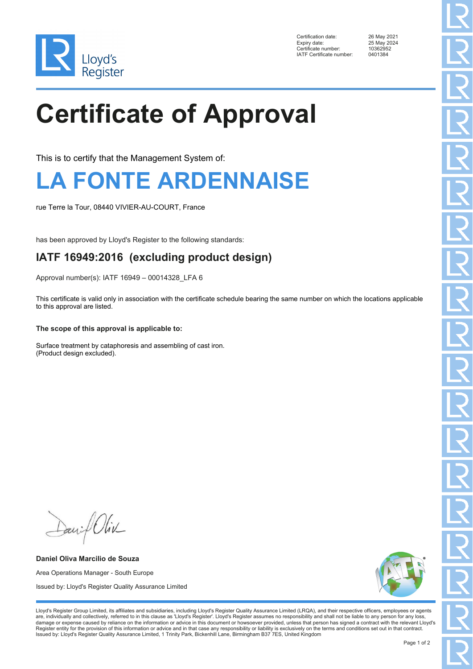

Certification date: 26 May 2021<br>Expiry date: 25 May 2024 Certificate number: 1036295<br>
IATE Certificate number: 0401384 IATF Certificate number:

25 May 2024<br>10362952

# **Certificate of Approval**

This is to certify that the Management System of:

## **LA FONTE ARDENNAISE**

rue Terre la Tour, 08440 VIVIER-AU-COURT, France

has been approved by Lloyd's Register to the following standards:

### **IATF 16949:2016 (excluding product design)**

Approval number(s): IATF 16949 – 00014328\_LFA 6

This certificate is valid only in association with the certificate schedule bearing the same number on which the locations applicable to this approval are listed.

#### **The scope of this approval is applicable to:**

Surface treatment by cataphoresis and assembling of cast iron. (Product design excluded).

David Oliv

**Daniel Oliva Marcilio de Souza** Area Operations Manager - South Europe Issued by: Lloyd's Register Quality Assurance Limited

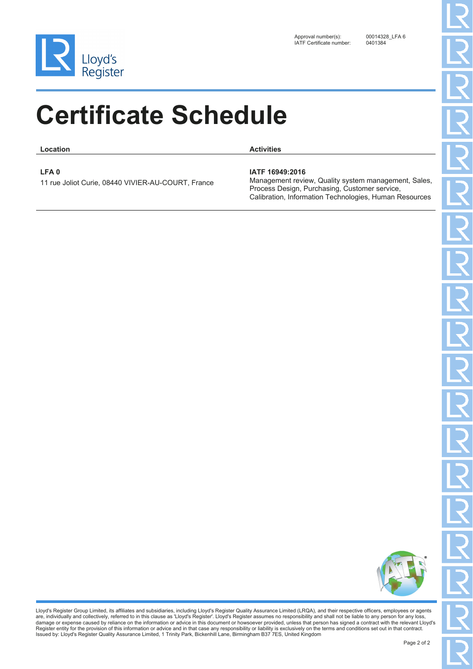

**Location Activities**

**LFA 0**

11 rue Joliot Curie, 08440 VIVIER-AU-COURT, France

#### **IATF 16949:2016**

Management review, Quality system management, Sales, Process Design, Purchasing, Customer service, Calibration, Information Technologies, Human Resources

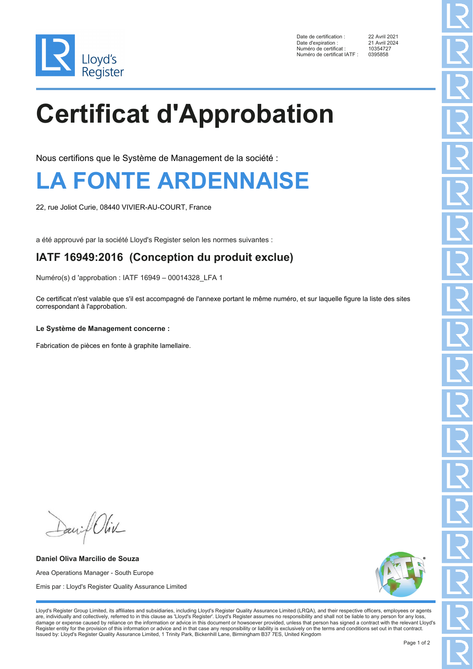

Date de certification : 22 Avril 2021<br>Date d'expiration : 21 Avril 2024 Date d'expiration : 21 Avril 20<br>Numéro de certificat : 10354727 Numéro de certificat : 1035472<br>Numéro de certificat IATE : 0395858 Numéro de certificat IATF :

# **Certificat d'Approbation**

Nous certifions que le Système de Management de la société :

### **LA FONTE ARDENNAISE**

22, rue Joliot Curie, 08440 VIVIER-AU-COURT, France

a été approuvé par la société Lloyd's Register selon les normes suivantes :

#### **IATF 16949:2016 (Conception du produit exclue)**

Numéro(s) d 'approbation : IATF 16949 – 00014328\_LFA 1

Ce certificat n'est valable que s'il est accompagné de l'annexe portant le même numéro, et sur laquelle figure la liste des sites correspondant à l'approbation.

#### **Le Système de Management concerne :**

Fabrication de pièces en fonte à graphite lamellaire.

Daniel Oliv

**Daniel Oliva Marcilio de Souza** Area Operations Manager - South Europe Emis par : Lloyd's Register Quality Assurance Limited

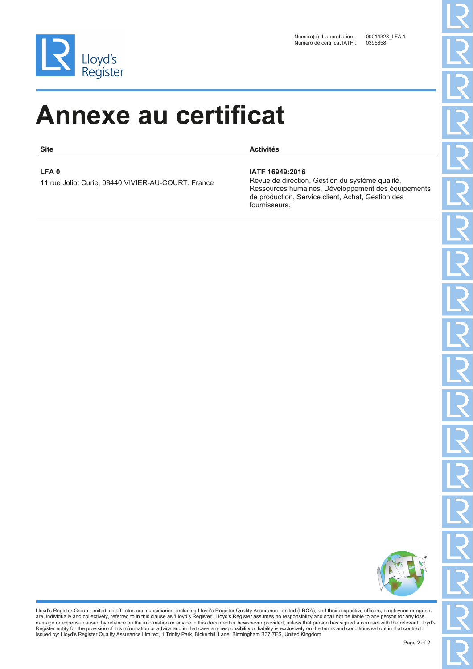

**Site Activités**

**LFA 0**

11 rue Joliot Curie, 08440 VIVIER-AU-COURT, France

#### **IATF 16949:2016**

Revue de direction, Gestion du système qualité, Ressources humaines, Développement des équipements de production, Service client, Achat, Gestion des fournisseurs.

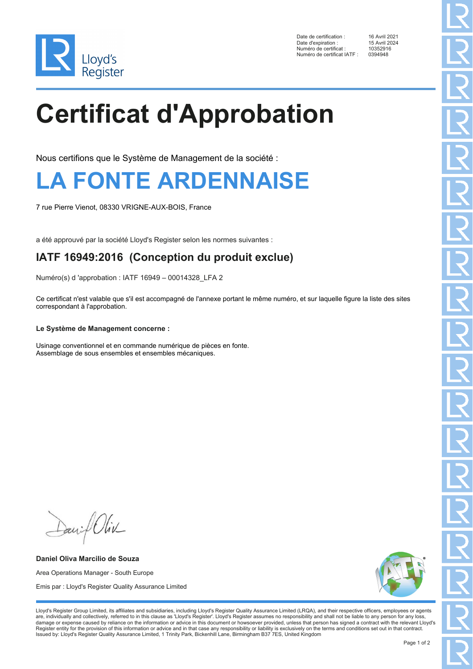

Date de certification : 16 Avril 2021<br>Date d'expiration : 15 Avril 2024 Date d'expiration : 15 Avril 20<br>Numéro de certificat : 10352916 Numéro de certificat : 1035291<br>Numéro de certificat IATE : 0394948 Numéro de certificat IATF :

## **Certificat d'Approbation**

Nous certifions que le Système de Management de la société :

### **LA FONTE ARDENNAISE**

7 rue Pierre Vienot, 08330 VRIGNE-AUX-BOIS, France

a été approuvé par la société Lloyd's Register selon les normes suivantes :

#### **IATF 16949:2016 (Conception du produit exclue)**

Numéro(s) d 'approbation : IATF 16949 – 00014328\_LFA 2

Ce certificat n'est valable que s'il est accompagné de l'annexe portant le même numéro, et sur laquelle figure la liste des sites correspondant à l'approbation.

#### **Le Système de Management concerne :**

Usinage conventionnel et en commande numérique de pièces en fonte. Assemblage de sous ensembles et ensembles mécaniques.

David Oliv

**Daniel Oliva Marcilio de Souza** Area Operations Manager - South Europe Emis par : Lloyd's Register Quality Assurance Limited

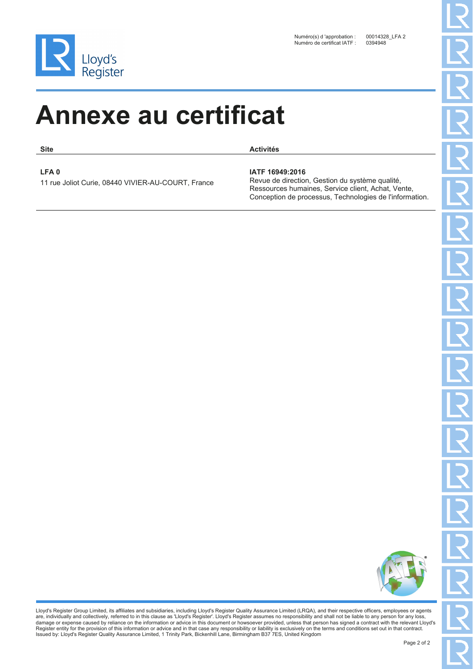

**Site Activités**

**LFA 0**

11 rue Joliot Curie, 08440 VIVIER-AU-COURT, France

#### **IATF 16949:2016**

Revue de direction, Gestion du système qualité, Ressources humaines, Service client, Achat, Vente, Conception de processus, Technologies de l'information.

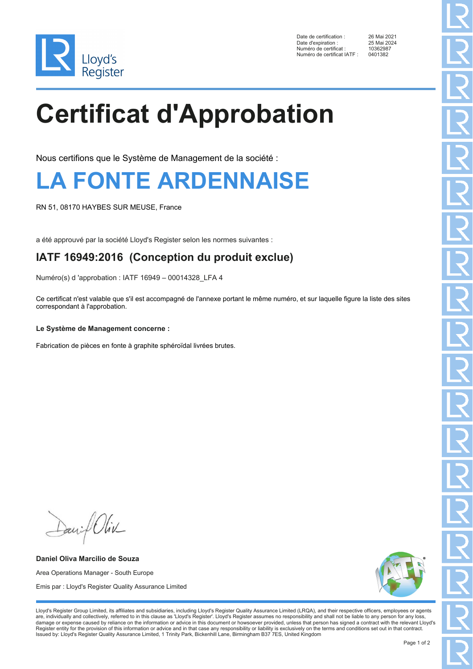

Date de certification : 26 Mai 2021<br>Date d'expiration : 25 Mai 2024 Date d'expiration : 25 Mai 20<br>Numéro de certificat : 20362987 Numéro de certificat : 1036298<br>Numéro de certificat IATE : 0401382 Numéro de certificat IATF :

# **Certificat d'Approbation**

Nous certifions que le Système de Management de la société :

### **LA FONTE ARDENNAISE**

RN 51, 08170 HAYBES SUR MEUSE, France

a été approuvé par la société Lloyd's Register selon les normes suivantes :

#### **IATF 16949:2016 (Conception du produit exclue)**

Numéro(s) d 'approbation : IATF 16949 – 00014328\_LFA 4

Ce certificat n'est valable que s'il est accompagné de l'annexe portant le même numéro, et sur laquelle figure la liste des sites correspondant à l'approbation.

#### **Le Système de Management concerne :**

Fabrication de pièces en fonte à graphite sphéroïdal livrées brutes.

David Oliv

**Daniel Oliva Marcilio de Souza** Area Operations Manager - South Europe Emis par : Lloyd's Register Quality Assurance Limited

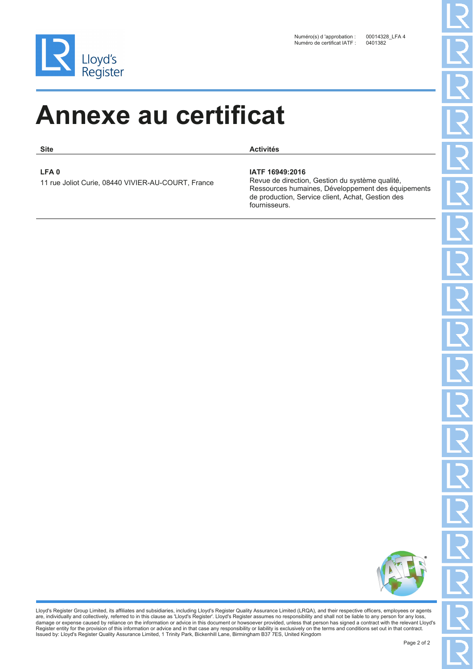

**Site Activités**

**LFA 0**

11 rue Joliot Curie, 08440 VIVIER-AU-COURT, France

#### **IATF 16949:2016**

Revue de direction, Gestion du système qualité, Ressources humaines, Développement des équipements de production, Service client, Achat, Gestion des fournisseurs.

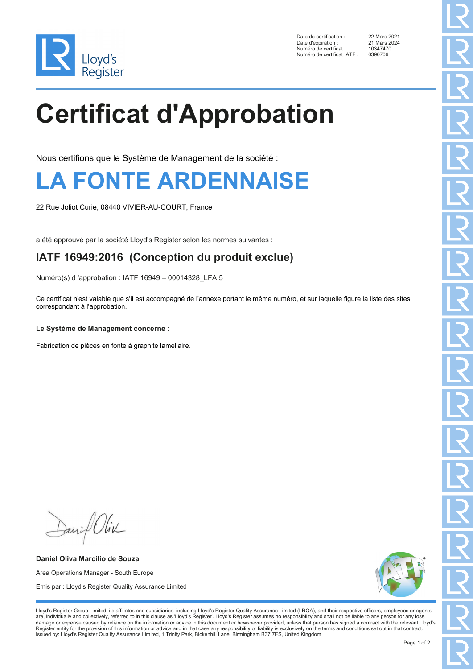

Date de certification : 22 Mars 2021<br>Date d'expiration : 21 Mars 2024 Date d'expiration : 21 Mars 20<br>Numéro de certificat : 10347470 Numéro de certificat : 10347470<br>Numéro de certificat IATE : 0390706 Numéro de certificat IATF :

# **Certificat d'Approbation**

Nous certifions que le Système de Management de la société :

### **LA FONTE ARDENNAISE**

22 Rue Joliot Curie, 08440 VIVIER-AU-COURT, France

a été approuvé par la société Lloyd's Register selon les normes suivantes :

#### **IATF 16949:2016 (Conception du produit exclue)**

Numéro(s) d 'approbation : IATF 16949 – 00014328\_LFA 5

Ce certificat n'est valable que s'il est accompagné de l'annexe portant le même numéro, et sur laquelle figure la liste des sites correspondant à l'approbation.

#### **Le Système de Management concerne :**

Fabrication de pièces en fonte à graphite lamellaire.

Daniel Oliv

**Daniel Oliva Marcilio de Souza** Area Operations Manager - South Europe Emis par : Lloyd's Register Quality Assurance Limited

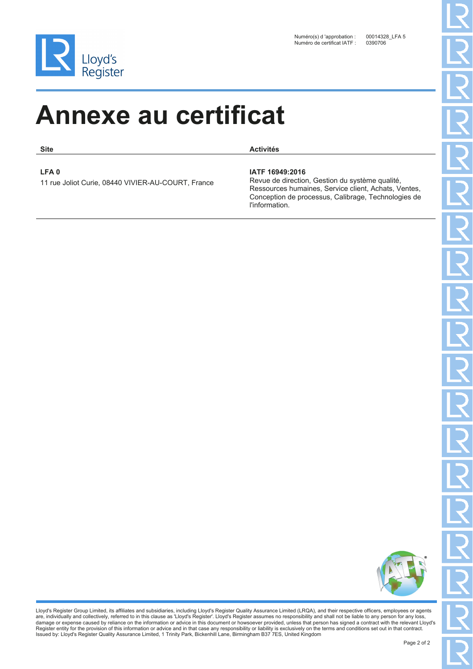

**Site Activités**

#### **LFA 0**

11 rue Joliot Curie, 08440 VIVIER-AU-COURT, France

#### **IATF 16949:2016**

Revue de direction, Gestion du système qualité, Ressources humaines, Service client, Achats, Ventes, Conception de processus, Calibrage, Technologies de l'information.

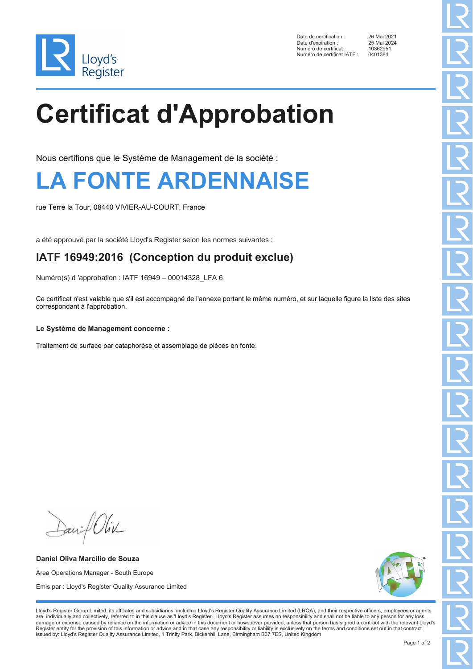

Date de certification : 26 Mai 2021<br>Date d'expiration : 25 Mai 2024 Date d'expiration : 25 Mai 20<br>Numéro de certificat : 10362951 Numéro de certificat : 1036295<br>Numéro de certificat IATE : 0401384 Numéro de certificat IATF :

# **Certificat d'Approbation**

Nous certifions que le Système de Management de la société :

### **LA FONTE ARDENNAISE**

rue Terre la Tour, 08440 VIVIER-AU-COURT, France

a été approuvé par la société Lloyd's Register selon les normes suivantes :

#### **IATF 16949:2016 (Conception du produit exclue)**

Numéro(s) d 'approbation : IATF 16949 – 00014328\_LFA 6

Ce certificat n'est valable que s'il est accompagné de l'annexe portant le même numéro, et sur laquelle figure la liste des sites correspondant à l'approbation.

#### **Le Système de Management concerne :**

Traitement de surface par cataphorèse et assemblage de pièces en fonte.

David Oliv

**Daniel Oliva Marcilio de Souza** Area Operations Manager - South Europe Emis par : Lloyd's Register Quality Assurance Limited